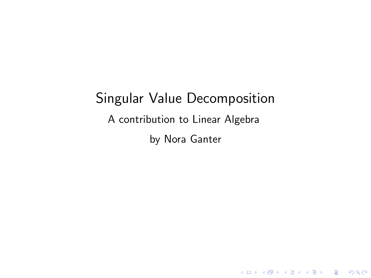# Singular Value Decomposition A contribution to Linear Algebra by Nora Ganter

KO K K Ø K K E K K E K V K K K K K K K K K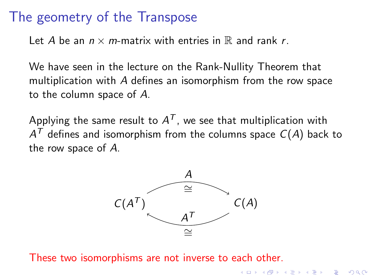#### The geometry of the Transpose

Let A be an  $n \times m$ -matrix with entries in  $\mathbb R$  and rank r.

We have seen in the lecture on the Rank-Nullity Theorem that multiplication with A defines an isomorphism from the row space to the column space of A.

Applying the same result to  $A^{\mathcal{T}}$ , we see that multiplication with  $A^{\mathcal{T}}$  defines and isomorphism from the columns space  $\mathcal{C}(A)$  back to the row space of A.



**KORKA SERKER YOUR** 

These two isomorphisms are not inverse to each other.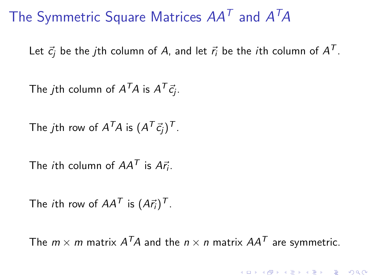The Symmetric Square Matrices  $AA^T$  and  $A^TA$ 

Let  $\vec{c_j}$  be the  $j$ th column of  $A$ , and let  $\vec{r_i}$  be the  $i$ th column of  $A^{\mathcal{T}}$ .

The  $j$ th column of  $A^{\mathcal{T}}\!A$  is  $A^{\mathcal{T}}\vec{c_j}.$ 

The  $j$ th row of  $A^{\mathcal{T}}A$  is  $(A^{\mathcal{T}} \vec{c_j})^{\mathcal{T}}$ .

The *i*th column of  $AA^T$  is  $A\vec{r}_i$ .

The *i*th row of  $AA^{\mathcal{T}}$  is  $(A\vec{r}_i)^{\mathcal{T}}$ .

The  $m\times m$  matrix  $A^TA$  and the  $n\times n$  matrix  $AA^T$  are symmetric.

KID KA KERKER E VOOR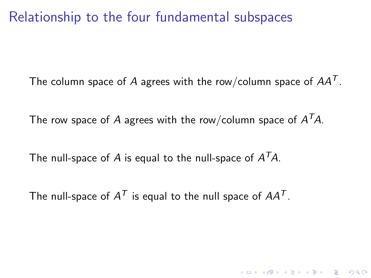Relationship to the four fundamental subspaces

The column space of A agrees with the row/column space of  $AA<sup>T</sup>$ .

KID KØD KED KED E 1990

The row space of  $A$  agrees with the row/column space of  $A^\mathcal{T}\!A$ .

The null-space of  $A$  is equal to the null-space of  $A^{\mathcal{T}}\!A$ .

The null-space of  $A^{\mathcal{T}}$  is equal to the null space of  $A A^{\mathcal{T}}$ .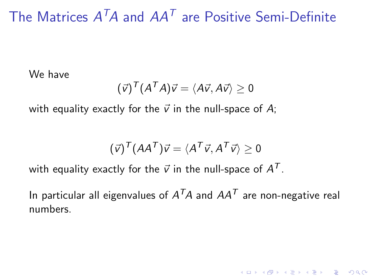## The Matrices  $A^T A$  and  $A A^T$  are Positive Semi-Definite

We have

$$
(\vec{v})^T (A^T A) \vec{v} = \langle A \vec{v}, A \vec{v} \rangle \geq 0
$$

with equality exactly for the  $\vec{v}$  in the null-space of A;

$$
(\vec{v})^T (AA^T)\vec{v} = \langle A^T \vec{v}, A^T \vec{v} \rangle \geq 0
$$

with equality exactly for the  $\vec{v}$  in the null-space of  $A^{\mathcal{T}}.$ 

In particular all eigenvalues of  $A^{\mathcal{T}}A$  and  $AA^{\mathcal{T}}$  are non-negative real numbers.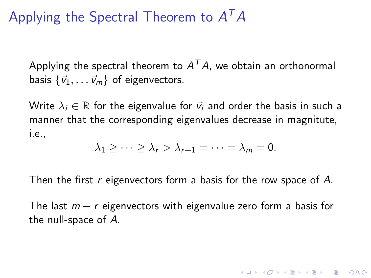## Applying the Spectral Theorem to  $A^TA$

Applying the spectral theorem to  $A^\mathcal{T} A$ , we obtain an orthonormal basis  $\{\vec{v}_1, \ldots \vec{v}_m\}$  of eigenvectors.

Write  $\lambda_i \in \mathbb{R}$  for the eigenvalue for  $\vec{v}_i$  and order the basis in such a manner that the corresponding eigenvalues decrease in magnitute, i.e.,

$$
\lambda_1 \geq \cdots \geq \lambda_r > \lambda_{r+1} = \cdots = \lambda_m = 0.
$$

Then the first r eigenvectors form a basis for the row space of A.

The last  $m - r$  eigenvectors with eigenvalue zero form a basis for the null-space of A.

KID KA KERKER KID KO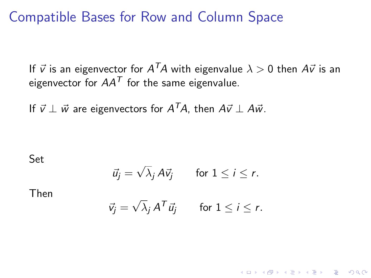#### Compatible Bases for Row and Column Space

If  $\vec{v}$  is an eigenvector for  $A^{\mathcal{T}}\!A$  with eigenvalue  $\lambda > 0$  then  $A \vec{v}$  is an eigenvector for  $AA<sup>T</sup>$  for the same eigenvalue.

If  $\vec{v} \perp \vec{w}$  are eigenvectors for  $A^T\!A$ , then  $A\vec{v} \perp A\vec{w}$ .

Set

$$
\vec{u}_j = \sqrt{\lambda}_j A \vec{v}_j \quad \text{for } 1 \leq i \leq r.
$$

Then

$$
\vec{v}_j = \sqrt{\lambda}_j A^T \vec{u}_j \quad \text{for } 1 \leq i \leq r.
$$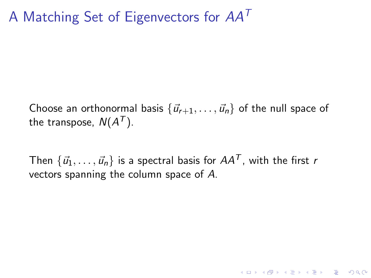### A Matching Set of Eigenvectors for  $AA<sup>T</sup>$

Choose an orthonormal basis  $\{\vec{u}_{r+1}, \ldots, \vec{u}_n\}$  of the null space of the transpose,  $N(A^{\mathcal{T}}).$ 

Then  $\{\vec{u}_1, \ldots, \vec{u}_n\}$  is a spectral basis for  $AA^T$ , with the first r vectors spanning the column space of A.

KELK KØLK VELKEN EL 1990